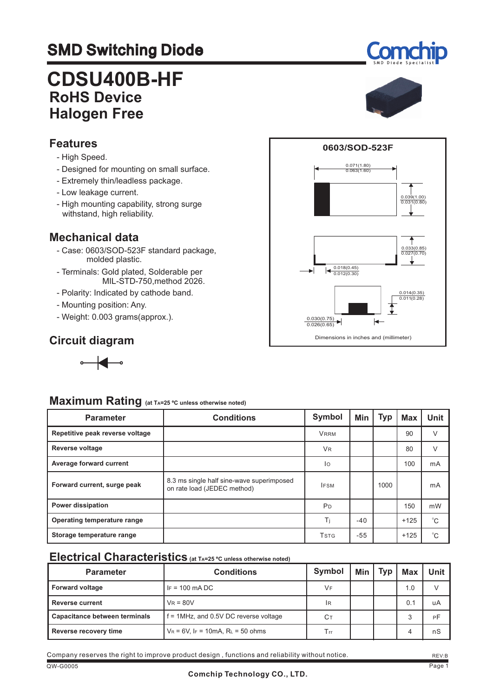# SMD Switching Diode

# **CDSU400B-HF RoHS Device Halogen Free**

### **Features**

- High Speed.
- Designed for mounting on small surface.
- Extremely thin/leadless package.
- Low leakage current.
- High mounting capability, strong surge withstand, high reliability.

### **Mechanical data**

- Case: 0603/SOD-523F standard package, molded plastic.
- Terminals: Gold plated, Solderable per MIL-STD-750,method 2026.
- Polarity: Indicated by cathode band.
- Mounting position: Any.
- Weight: 0.003 grams(approx.).

### **Circuit diagram**



# **Maximum Rating (at TA=25 ºC unless otherwise noted)**

| <b>Parameter</b>                | <b>Conditions</b>                                                        | <b>Symbol</b>                        | Min   | <b>Typ</b> | Max    | <b>Unit</b> |
|---------------------------------|--------------------------------------------------------------------------|--------------------------------------|-------|------------|--------|-------------|
| Repetitive peak reverse voltage |                                                                          | <b>VRRM</b>                          |       |            | 90     | V           |
| <b>Reverse voltage</b>          |                                                                          | <b>VR</b>                            |       |            | 80     | $\vee$      |
| Average forward current         |                                                                          | lo                                   |       |            | 100    | mA          |
| Forward current, surge peak     | 8.3 ms single half sine-wave superimposed<br>on rate load (JEDEC method) | <b>IFSM</b>                          |       | 1000       |        | mA          |
| <b>Power dissipation</b>        |                                                                          | <b>P</b> <sub>D</sub>                |       |            | 150    | mW          |
| Operating temperature range     |                                                                          | Τi                                   | $-40$ |            | $+125$ | $^{\circ}C$ |
| Storage temperature range       |                                                                          | <b>T</b> <sub>S</sub> T <sub>G</sub> | $-55$ |            | $+125$ | $^{\circ}C$ |

### **Electrical Characteristics (at TA=25 ºC unless otherwise noted)**

| <b>Parameter</b>              | <b>Conditions</b>                        | <b>Symbol</b> | <b>Min</b> | Tvp | <b>Max</b> | Unit |
|-------------------------------|------------------------------------------|---------------|------------|-----|------------|------|
| <b>Forward voltage</b>        | $IF = 100 \text{ mA} \text{DC}$          | VF            |            |     | 1.0        |      |
| <b>Reverse current</b>        | $V_R = 80V$                              | <b>IR</b>     |            |     | 0.1        | uA   |
| Capacitance between terminals | $f = 1$ MHz, and 0.5V DC reverse voltage | Cт            |            |     |            | РF   |
| Reverse recovery time         | $V_R = 6V$ , IF = 10mA, RL = 50 ohms     | Trr           |            |     |            | nS   |



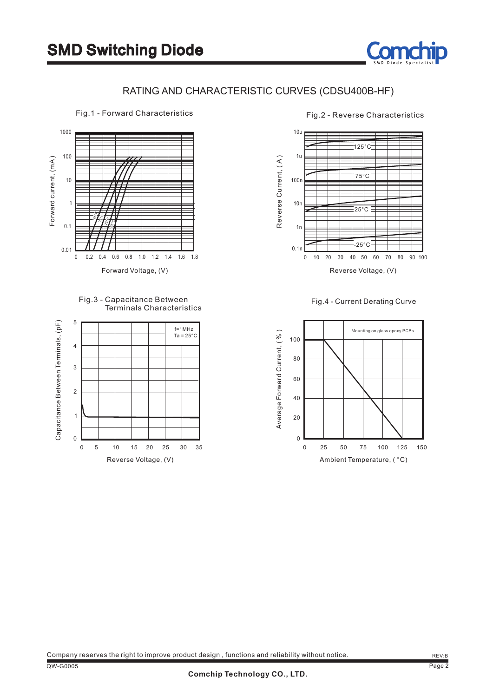

### RATING AND CHARACTERISTIC CURVES (CDSU400B-HF)



Fig.3 - Capacitance Between Fig.4 - Current Derating Curve Terminals Characteristics





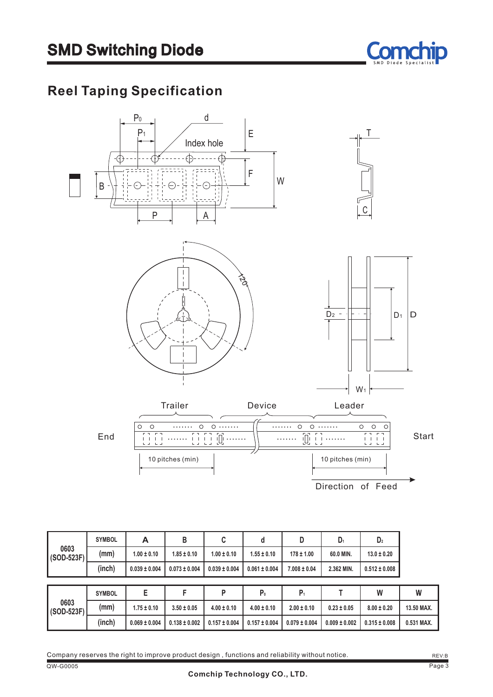

# **Reel Taping Specification**



|                    | <b>SYMBOL</b> | А                 | В                 | C                 | d                 | D                | D <sub>1</sub>  | D <sub>2</sub>    |            |
|--------------------|---------------|-------------------|-------------------|-------------------|-------------------|------------------|-----------------|-------------------|------------|
| 0603<br>(SOD-523F) | (mm)          | $1.00 \pm 0.10$   | $1.85 \pm 0.10$   | $1.00 \pm 0.10$   | $1.55 \pm 0.10$   | $178 \pm 1.00$   | 60.0 MIN.       | $13.0 \pm 0.20$   |            |
|                    | (inch)        | $0.039 \pm 0.004$ | $0.073 \pm 0.004$ | $0.039 \pm 0.004$ | $0.061 \pm 0.004$ | $7.008 \pm 0.04$ | 2.362 MIN.      | $0.512 \pm 0.008$ |            |
|                    |               |                   |                   |                   |                   |                  |                 |                   |            |
|                    |               |                   |                   |                   |                   |                  |                 |                   |            |
|                    | <b>SYMBOL</b> | E                 | F                 | P                 | P <sub>0</sub>    | $P_1$            |                 | W                 | W          |
| 0603<br>(SOD-523F) | (mm)          | $1.75 \pm 0.10$   | $3.50 \pm 0.05$   | $4.00 \pm 0.10$   | $4.00 \pm 0.10$   | $2.00 \pm 0.10$  | $0.23 \pm 0.05$ | $8.00 \pm 0.20$   | 13.50 MAX. |